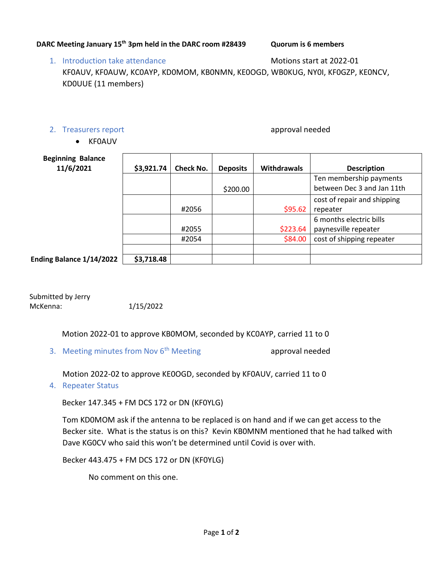## **DARC Meeting January 15th 3pm held in the DARC room #28439 Quorum is 6 members**

## 1. Introduction take attendance Motions start at 2022-01 KF0AUV, KF0AUW, KC0AYP, KD0MOM, KB0NMN, KE0OGD, WB0KUG, NY0I, KF0GZP, KE0NCV, KD0UUE (11 members)

## 2. Treasurers report approval needed

• KF0AUV

| <b>Beginning Balance</b><br>11/6/2021 | \$3,921.74 | <b>Check No.</b> | <b>Deposits</b> | <b>Withdrawals</b> | <b>Description</b>          |
|---------------------------------------|------------|------------------|-----------------|--------------------|-----------------------------|
|                                       |            |                  |                 |                    | Ten membership payments     |
|                                       |            |                  | \$200.00        |                    | between Dec 3 and Jan 11th  |
|                                       |            |                  |                 |                    | cost of repair and shipping |
|                                       |            | #2056            |                 | \$95.62            | repeater                    |
|                                       |            |                  |                 |                    | 6 months electric bills     |
|                                       |            | #2055            |                 | \$223.64           | paynesville repeater        |
|                                       |            | #2054            |                 | \$84.00            | cost of shipping repeater   |
|                                       |            |                  |                 |                    |                             |
| Ending Balance 1/14/2022              | \$3,718.48 |                  |                 |                    |                             |

Submitted by Jerry McKenna: 1/15/2022

Motion 2022-01 to approve KB0MOM, seconded by KC0AYP, carried 11 to 0

3. Meeting minutes from Nov  $6<sup>th</sup>$  Meeting approval needed

Motion 2022-02 to approve KE0OGD, seconded by KF0AUV, carried 11 to 0

4. Repeater Status

Becker 147.345 + FM DCS 172 or DN (KF0YLG)

Tom KD0MOM ask if the antenna to be replaced is on hand and if we can get access to the Becker site. What is the status is on this? Kevin KB0MNM mentioned that he had talked with Dave KG0CV who said this won't be determined until Covid is over with.

Becker 443.475 + FM DCS 172 or DN (KF0YLG)

No comment on this one.